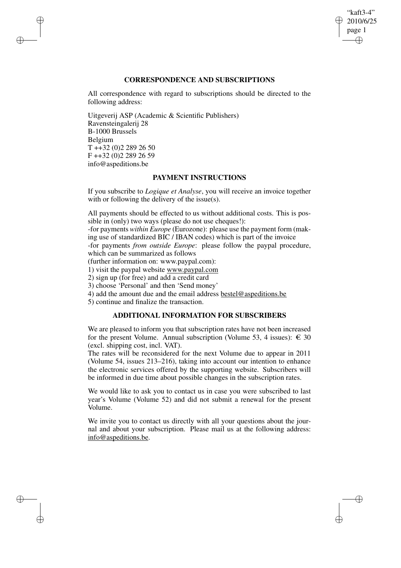## "kaft3-4" 2010/6/25 page 1 ✐ ✐

✐

✐

# **CORRESPONDENCE AND SUBSCRIPTIONS**

All correspondence with regard to subscriptions should be directed to the following address:

Uitgeverij ASP (Academic & Scientific Publishers) Ravensteingalerij 28 B-1000 Brussels Belgium T ++32 (0)2 289 26 50 F ++32 (0)2 289 26 59 info@aspeditions.be

✐

✐

✐

✐

## **PAYMENT INSTRUCTIONS**

If you subscribe to *Logique et Analyse*, you will receive an invoice together with or following the delivery of the issue(s).

All payments should be effected to us without additional costs. This is possible in (only) two ways (please do not use cheques!):

-for payments *within Europe* (Eurozone): please use the payment form (making use of standardized BIC / IBAN codes) which is part of the invoice

-for payments *from outside Europe*: please follow the paypal procedure, which can be summarized as follows

(further information on: www.paypal.com):

1) visit the paypal website www.paypal.com

2) sign up (for free) and add a credit card

3) choose 'Personal' and then 'Send money'

4) add the amount due and the email address bestel@aspeditions.be

5) continue and finalize the transaction.

# **ADDITIONAL INFORMATION FOR SUBSCRIBERS**

We are pleased to inform you that subscription rates have not been increased for the present Volume. Annual subscription (Volume 53, 4 issues):  $\in$  30 (excl. shipping cost, incl. VAT).

The rates will be reconsidered for the next Volume due to appear in 2011 (Volume 54, issues 213–216), taking into account our intention to enhance the electronic services offered by the supporting website. Subscribers will be informed in due time about possible changes in the subscription rates.

We would like to ask you to contact us in case you were subscribed to last year's Volume (Volume 52) and did not submit a renewal for the present Volume.

We invite you to contact us directly with all your questions about the journal and about your subscription. Please mail us at the following address: info@aspeditions.be.